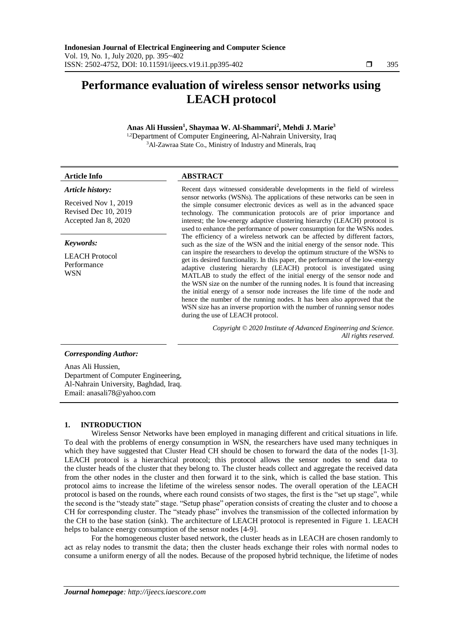# **Performance evaluation of wireless sensor networks using LEACH protocol**

## **Anas Ali Hussien<sup>1</sup> , Shaymaa W. Al-Shammari<sup>2</sup> , Mehdi J. Marie<sup>3</sup>** 1,2Department of Computer Engineering, Al-Nahrain University, Iraq <sup>3</sup>Al-Zawraa State Co., Ministry of Industry and Minerals, Iraq

| <b>Article Info</b>                                                  | <b>ABSTRACT</b>                                                                                                                                                                                                                                                                                                                                                                                                                                                                                                                                                                                                                                                                  |  |  |  |
|----------------------------------------------------------------------|----------------------------------------------------------------------------------------------------------------------------------------------------------------------------------------------------------------------------------------------------------------------------------------------------------------------------------------------------------------------------------------------------------------------------------------------------------------------------------------------------------------------------------------------------------------------------------------------------------------------------------------------------------------------------------|--|--|--|
| Article history:                                                     | Recent days witnessed considerable developments in the field of wireless                                                                                                                                                                                                                                                                                                                                                                                                                                                                                                                                                                                                         |  |  |  |
| Received Nov 1, 2019<br>Revised Dec 10, 2019<br>Accepted Jan 8, 2020 | sensor networks (WSNs). The applications of these networks can be seen in<br>the simple consumer electronic devices as well as in the advanced space<br>technology. The communication protocols are of prior importance and<br>interest; the low-energy adaptive clustering hierarchy (LEACH) protocol is<br>used to enhance the performance of power consumption for the WSNs nodes.                                                                                                                                                                                                                                                                                            |  |  |  |
| Keywords:                                                            | The efficiency of a wireless network can be affected by different factors,<br>such as the size of the WSN and the initial energy of the sensor node. This                                                                                                                                                                                                                                                                                                                                                                                                                                                                                                                        |  |  |  |
| <b>LEACH</b> Protocol<br>Performance<br>WSN                          | can inspire the researchers to develop the optimum structure of the WSNs to<br>get its desired functionality. In this paper, the performance of the low-energy<br>adaptive clustering hierarchy (LEACH) protocol is investigated using<br>MATLAB to study the effect of the initial energy of the sensor node and<br>the WSN size on the number of the running nodes. It is found that increasing<br>the initial energy of a sensor node increases the life time of the node and<br>hence the number of the running nodes. It has been also approved that the<br>WSN size has an inverse proportion with the number of running sensor nodes<br>during the use of LEACH protocol. |  |  |  |
|                                                                      | Copyright © 2020 Institute of Advanced Engineering and Science.<br>All rights reserved.                                                                                                                                                                                                                                                                                                                                                                                                                                                                                                                                                                                          |  |  |  |
| <b>Corresponding Author:</b>                                         |                                                                                                                                                                                                                                                                                                                                                                                                                                                                                                                                                                                                                                                                                  |  |  |  |
| Anas Ali Hussien,<br>Department of Computer Engineering,             |                                                                                                                                                                                                                                                                                                                                                                                                                                                                                                                                                                                                                                                                                  |  |  |  |

### **1. INTRODUCTION**

Email: anasali78@yahoo.com

Al-Nahrain University, Baghdad, Iraq.

Wireless Sensor Networks have been employed in managing different and critical situations in life. To deal with the problems of energy consumption in WSN, the researchers have used many techniques in which they have suggested that Cluster Head CH should be chosen to forward the data of the nodes [1-3]. LEACH protocol is a hierarchical protocol; this protocol allows the sensor nodes to send data to the cluster heads of the cluster that they belong to. The cluster heads collect and aggregate the received data from the other nodes in the cluster and then forward it to the sink, which is called the base station. This protocol aims to increase the lifetime of the wireless sensor nodes. The overall operation of the LEACH protocol is based on the rounds, where each round consists of two stages, the first is the "set up stage", while the second is the "steady state" stage. "Setup phase" operation consists of creating the cluster and to choose a CH for corresponding cluster. The "steady phase" involves the transmission of the collected information by the CH to the base station (sink). The architecture of LEACH protocol is represented in Figure 1. LEACH helps to balance energy consumption of the sensor nodes [4-9].

For the homogeneous cluster based network, the cluster heads as in LEACH are chosen randomly to act as relay nodes to transmit the data; then the cluster heads exchange their roles with normal nodes to consume a uniform energy of all the nodes. Because of the proposed hybrid technique, the lifetime of nodes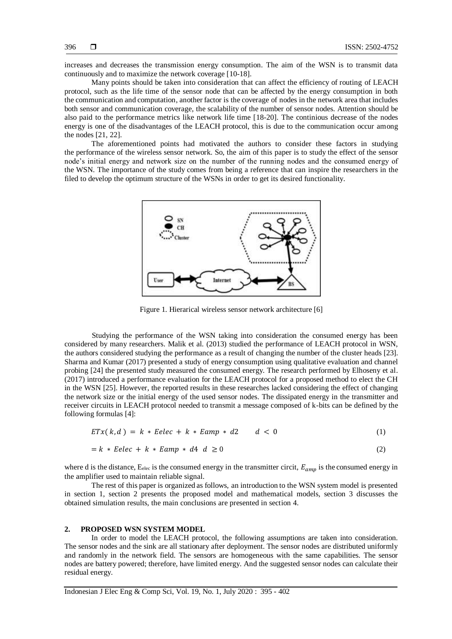increases and decreases the transmission energy consumption. The aim of the WSN is to transmit data continuously and to maximize the network coverage [10-18].

Many points should be taken into consideration that can affect the efficiency of routing of LEACH protocol, such as the life time of the sensor node that can be affected by the energy consumption in both the communication and computation, another factor is the coverage of nodes in the network area that includes both sensor and communication coverage, the scalability of the number of sensor nodes. Attention should be also paid to the performance metrics like network life time [18-20]. The continious decrease of the nodes energy is one of the disadvantages of the LEACH protocol, this is due to the communication occur among the nodes [21, 22].

The aforementioned points had motivated the authors to consider these factors in studying the performance of the wireless sensor network. So, the aim of this paper is to study the effect of the sensor node's initial energy and network size on the number of the running nodes and the consumed energy of the WSN. The importance of the study comes from being a reference that can inspire the researchers in the filed to develop the optimum structure of the WSNs in order to get its desired functionality.



Figure 1. Hierarical wireless sensor network architecture [6]

Studying the performance of the WSN taking into consideration the consumed energy has been considered by many researchers. Malik et al. (2013) studied the performance of LEACH protocol in WSN, the authors considered studying the performance as a result of changing the number of the cluster heads [23]. Sharma and Kumar (2017) presented a study of energy consumption using qualitative evaluation and channel probing [24] the presented study measured the consumed energy. The research performed by Elhoseny et al. (2017) introduced a performance evaluation for the LEACH protocol for a proposed method to elect the CH in the WSN [25]. However, the reported results in these researches lacked considering the effect of changing the network size or the initial energy of the used sensor nodes. The dissipated energy in the transmitter and receiver circuits in LEACH protocol needed to transmit a message composed of k-bits can be defined by the following formulas [4]:

$$
ETx(k,d) = k * Eelec + k * Eamp * d2 \qquad d < 0 \tag{1}
$$

$$
= k * Eelec + k * Eamp * d4 d \ge 0
$$
\n<sup>(2)</sup>

where d is the distance,  $E_{elec}$  is the consumed energy in the transmitter circit,  $E_{amp}$  is the consumed energy in the amplifier used to maintain reliable signal.

The rest of this paper is organized as follows, an introduction to the WSN system model is presented in section 1, section 2 presents the proposed model and mathematical models, section 3 discusses the obtained simulation results, the main conclusions are presented in section 4.

## **2. PROPOSED WSN SYSTEM MODEL**

In order to model the LEACH protocol, the following assumptions are taken into consideration. The sensor nodes and the sink are all stationary after deployment. The sensor nodes are distributed uniformly and randomly in the network field. The sensors are homogeneous with the same capabilities. The sensor nodes are battery powered; therefore, have limited energy. And the suggested sensor nodes can calculate their residual energy.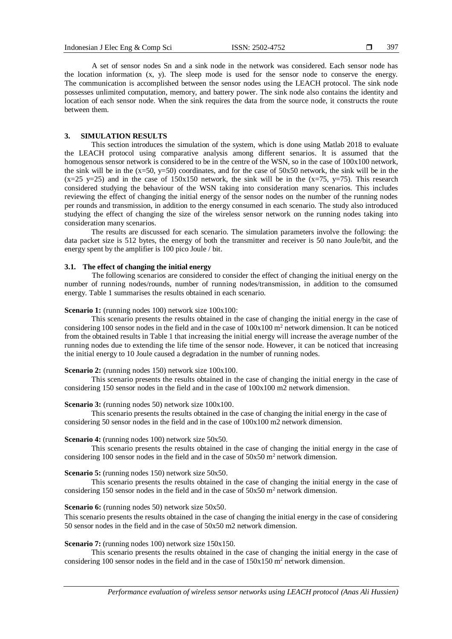397

A set of sensor nodes Sn and a sink node in the network was considered. Each sensor node has the location information (x, y). The sleep mode is used for the sensor node to conserve the energy. The communication is accomplished between the sensor nodes using the LEACH protocol. The sink node possesses unlimited computation, memory, and battery power. The sink node also contains the identity and location of each sensor node. When the sink requires the data from the source node, it constructs the route between them.

#### **3. SIMULATION RESULTS**

This section introduces the simulation of the system, which is done using Matlab 2018 to evaluate the LEACH protocol using comparative analysis among different senarios. It is assumed that the homogenous sensor network is considered to be in the centre of the WSN, so in the case of  $100x100$  network, the sink will be in the  $(x=50, y=50)$  coordinates, and for the case of 50x50 network, the sink will be in the  $(x=25 \text{ y} = 25)$  and in the case of 150x150 network, the sink will be in the  $(x=75, y=75)$ . This research considered studying the behaviour of the WSN taking into consideration many scenarios. This includes reviewing the effect of changing the initial energy of the sensor nodes on the number of the running nodes per rounds and transmission, in addition to the energy consumed in each scenario. The study also introduced studying the effect of changing the size of the wireless sensor network on the running nodes taking into consideration many scenarios.

The results are discussed for each scenario. The simulation parameters involve the following: the data packet size is 512 bytes, the energy of both the transmitter and receiver is 50 nano Joule/bit, and the energy spent by the amplifier is 100 pico Joule / bit.

## **3.1. The effect of changing the initial energy**

The following scenarios are considered to consider the effect of changing the initiual energy on the number of running nodes/rounds, number of running nodes/transmission, in addition to the comsumed energy. Table 1 summarises the results obtained in each scenario.

## **Scenario 1:** (running nodes 100) network size 100x100:

This scenario presents the results obtained in the case of changing the initial energy in the case of considering 100 sensor nodes in the field and in the case of  $100x100 \text{ m}^2$  network dimension. It can be noticed from the obtained results in Table 1 that increasing the initial energy will increase the average number of the running nodes due to extending the life time of the sensor node. However, it can be noticed that increasing the initial energy to 10 Joule caused a degradation in the number of running nodes.

#### **Scenario 2:** (running nodes 150) network size 100x100.

This scenario presents the results obtained in the case of changing the initial energy in the case of considering 150 sensor nodes in the field and in the case of 100x100 m2 network dimension.

#### **Scenario 3:** (running nodes 50) network size  $100x100$ .

This scenario presents the results obtained in the case of changing the initial energy in the case of considering 50 sensor nodes in the field and in the case of 100x100 m2 network dimension.

#### **Scenario 4:** (running nodes 100) network size 50x50.

This scenario presents the results obtained in the case of changing the initial energy in the case of considering 100 sensor nodes in the field and in the case of  $50x50$  m<sup>2</sup> network dimension.

## **Scenario 5:** (running nodes 150) network size 50x50.

This scenario presents the results obtained in the case of changing the initial energy in the case of considering 150 sensor nodes in the field and in the case of  $50x50$  m<sup>2</sup> network dimension.

# **Scenario 6:** (running nodes 50) network size 50x50.

This scenario presents the results obtained in the case of changing the initial energy in the case of considering 50 sensor nodes in the field and in the case of 50x50 m2 network dimension.

## **Scenario 7:** (running nodes 100) network size 150x150.

This scenario presents the results obtained in the case of changing the initial energy in the case of considering 100 sensor nodes in the field and in the case of  $150x150$  m<sup>2</sup> network dimension.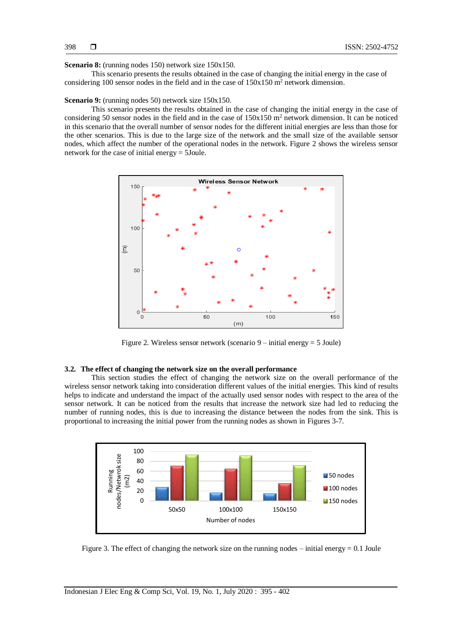#### **Scenario 8:** (running nodes 150) network size 150x150.

This scenario presents the results obtained in the case of changing the initial energy in the case of considering 100 sensor nodes in the field and in the case of  $150x150$  m<sup>2</sup> network dimension.

#### **Scenario 9:** (running nodes 50) network size 150x150.

This scenario presents the results obtained in the case of changing the initial energy in the case of considering 50 sensor nodes in the field and in the case of  $150x150$  m<sup>2</sup> network dimension. It can be noticed in this scenario that the overall number of sensor nodes for the different initial energies are less than those for the other scenarios. This is due to the large size of the network and the small size of the available sensor nodes, which affect the number of the operational nodes in the network. Figure 2 shows the wireless sensor network for the case of initial energy = 5Joule.



Figure 2. Wireless sensor network (scenario 9 – initial energy = 5 Joule)

### **3.2. The effect of changing the network size on the overall performance**

This section studies the effect of changing the network size on the overall performance of the wireless sensor network taking into consideration different values of the initial energies. This kind of results helps to indicate and understand the impact of the actually used sensor nodes with respect to the area of the sensor network. It can be noticed from the results that increase the network size had led to reducing the number of running nodes, this is due to increasing the distance between the nodes from the sink. This is proportional to increasing the initial power from the running nodes as shown in Figures 3-7.



Figure 3. The effect of changing the network size on the running nodes – initial energy  $= 0.1$  Joule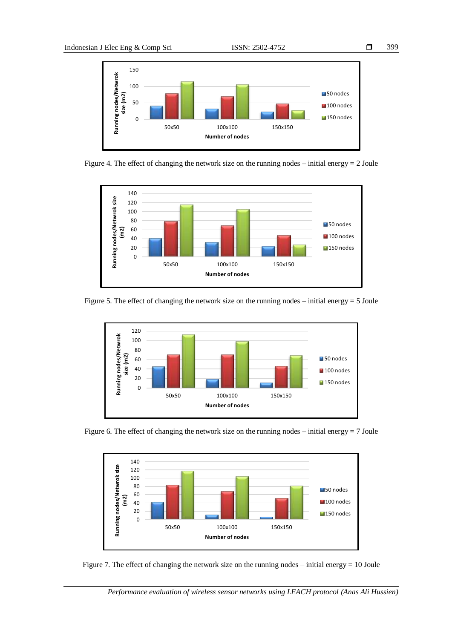

Figure 4. The effect of changing the network size on the running nodes – initial energy  $= 2$  Joule



Figure 5. The effect of changing the network size on the running nodes – initial energy = 5 Joule



Figure 6. The effect of changing the network size on the running nodes – initial energy  $= 7$  Joule



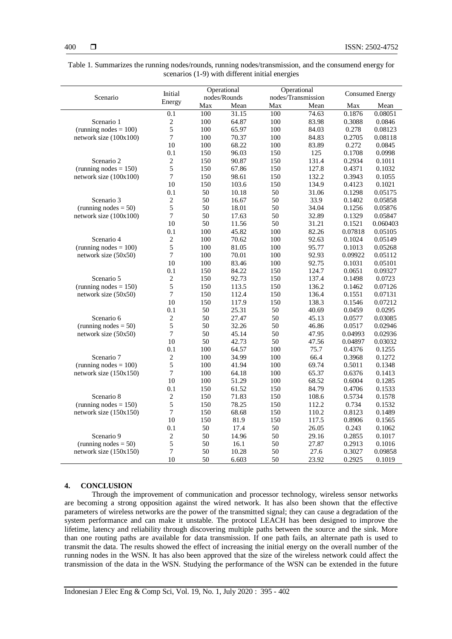| Table 1. Summarizes the running nodes/rounds, running nodes/transmission, and the consumend energy for |
|--------------------------------------------------------------------------------------------------------|
| scenarios (1-9) with different initial energies                                                        |

| Scenario                 | Initial<br>Energy | Operational<br>nodes/Rounds |       | Operational<br>nodes/Transmission |       | <b>Consumed Energy</b> |          |
|--------------------------|-------------------|-----------------------------|-------|-----------------------------------|-------|------------------------|----------|
|                          |                   |                             |       |                                   |       |                        |          |
|                          |                   | Max                         | Mean  | Max                               | Mean  | Max                    | Mean     |
|                          | 0.1               | 100                         | 31.15 | 100                               | 74.63 | 0.1876                 | 0.08051  |
| Scenario 1               | 2                 | 100                         | 64.87 | 100                               | 83.98 | 0.3088                 | 0.0846   |
| (running nodes $= 100$ ) | 5                 | 100                         | 65.97 | 100                               | 84.03 | 0.278                  | 0.08123  |
| network size (100x100)   | 7                 | 100                         | 70.37 | 100                               | 84.83 | 0.2705                 | 0.08118  |
|                          | 10                | 100                         | 68.22 | 100                               | 83.89 | 0.272                  | 0.0845   |
|                          | 0.1               | 150                         | 96.03 | 150                               | 125   | 0.1708                 | 0.0998   |
| Scenario 2               | $\sqrt{2}$        | 150                         | 90.87 | 150                               | 131.4 | 0.2934                 | 0.1011   |
| (running nodes $= 150$ ) | 5                 | 150                         | 67.86 | 150                               | 127.8 | 0.4371                 | 0.1032   |
| network size (100x100)   | 7                 | 150                         | 98.61 | 150                               | 132.2 | 0.3943                 | 0.1055   |
|                          | 10                | 150                         | 103.6 | 150                               | 134.9 | 0.4123                 | 0.1021   |
|                          | 0.1               | 50                          | 10.18 | 50                                | 31.06 | 0.1298                 | 0.05175  |
| Scenario 3               | 2                 | 50                          | 16.67 | 50                                | 33.9  | 0.1402                 | 0.05858  |
| (running nodes $= 50$ )  | 5                 | 50                          | 18.01 | 50                                | 34.04 | 0.1256                 | 0.05876  |
| network size (100x100)   | $\boldsymbol{7}$  | 50                          | 17.63 | 50                                | 32.89 | 0.1329                 | 0.05847  |
|                          | 10                | 50                          | 11.56 | 50                                | 31.21 | 0.1521                 | 0.060403 |
|                          | 0.1               | 100                         | 45.82 | 100                               | 82.26 | 0.07818                | 0.05105  |
| Scenario 4               | 2                 | 100                         | 70.62 | 100                               | 92.63 | 0.1024                 | 0.05149  |
| (running nodes $= 100$ ) | 5                 | 100                         | 81.05 | 100                               | 95.77 | 0.1013                 | 0.05268  |
| network size (50x50)     | $\overline{7}$    | 100                         | 70.01 | 100                               | 92.93 | 0.09922                | 0.05112  |
|                          | 10                | 100                         | 83.46 | 100                               | 92.75 | 0.1031                 | 0.05101  |
|                          | 0.1               | 150                         | 84.22 | 150                               | 124.7 | 0.0651                 | 0.09327  |
| Scenario 5               | $\overline{c}$    | 150                         | 92.73 | 150                               | 137.4 | 0.1498                 | 0.0723   |
| (running nodes $= 150$ ) | 5                 | 150                         | 113.5 | 150                               | 136.2 | 0.1462                 | 0.07126  |
| network size (50x50)     | $\overline{7}$    | 150                         | 112.4 | 150                               | 136.4 | 0.1551                 | 0.07131  |
|                          | 10                | 150                         | 117.9 | 150                               | 138.3 | 0.1546                 | 0.07212  |
|                          | 0.1               | 50                          | 25.31 | 50                                | 40.69 | 0.0459                 | 0.0295   |
| Scenario 6               | 2                 | 50                          | 27.47 | 50                                | 45.13 | 0.0577                 | 0.03085  |
| (running nodes $= 50$ )  | 5                 | 50                          | 32.26 | 50                                | 46.86 | 0.0517                 | 0.02946  |
| network size (50x50)     | 7                 | 50                          | 45.14 | 50                                | 47.95 | 0.04993                | 0.02936  |
|                          | 10                | 50                          | 42.73 | 50                                | 47.56 | 0.04897                | 0.03032  |
|                          | 0.1               | 100                         | 64.57 | 100                               | 75.7  | 0.4376                 | 0.1255   |
| Scenario 7               | $\sqrt{2}$        | 100                         | 34.99 | 100                               | 66.4  | 0.3968                 | 0.1272   |
| (running nodes $= 100$ ) | 5                 | 100                         | 41.94 | 100                               | 69.74 | 0.5011                 | 0.1348   |
| network size (150x150)   | $\overline{7}$    | 100                         | 64.18 | 100                               | 65.37 | 0.6376                 | 0.1413   |
|                          | 10                | 100                         | 51.29 | 100                               | 68.52 | 0.6004                 | 0.1285   |
|                          | 0.1               | 150                         | 61.52 | 150                               | 84.79 | 0.4706                 | 0.1533   |
| Scenario 8               | $\mathbf{2}$      | 150                         | 71.83 | 150                               | 108.6 | 0.5734                 | 0.1578   |
| (running nodes $= 150$ ) | 5                 | 150                         | 78.25 | 150                               | 112.2 | 0.734                  | 0.1532   |
| network size (150x150)   | $\overline{7}$    | 150                         | 68.68 | 150                               | 110.2 | 0.8123                 | 0.1489   |
|                          | 10                | 150                         | 81.9  | 150                               | 117.5 | 0.8906                 | 0.1565   |
|                          | 0.1               | 50                          | 17.4  | 50                                | 26.05 | 0.243                  | 0.1062   |
| Scenario 9               | 2                 | 50                          | 14.96 | 50                                | 29.16 | 0.2855                 | 0.1017   |
| (running nodes $= 50$ )  | 5                 | 50                          | 16.1  | 50                                | 27.87 | 0.2913                 | 0.1016   |
| network size (150x150)   | 7                 | 50                          | 10.28 | 50                                | 27.6  | 0.3027                 | 0.09858  |
|                          | 10                | 50                          | 6.603 | 50                                | 23.92 | 0.2925                 | 0.1019   |

## **4. CONCLUSION**

Through the improvement of communication and processor technology, wireless sensor networks are becoming a strong opposition against the wired network. It has also been shown that the effective parameters of wireless networks are the power of the transmitted signal; they can cause a degradation of the system performance and can make it unstable. The protocol LEACH has been designed to improve the lifetime, latency and reliability through discovering multiple paths between the source and the sink. More than one routing paths are available for data transmission. If one path fails, an alternate path is used to transmit the data. The results showed the effect of increasing the initial energy on the overall number of the running nodes in the WSN. It has also been approved that the size of the wireless network could affect the transmission of the data in the WSN. Studying the performance of the WSN can be extended in the future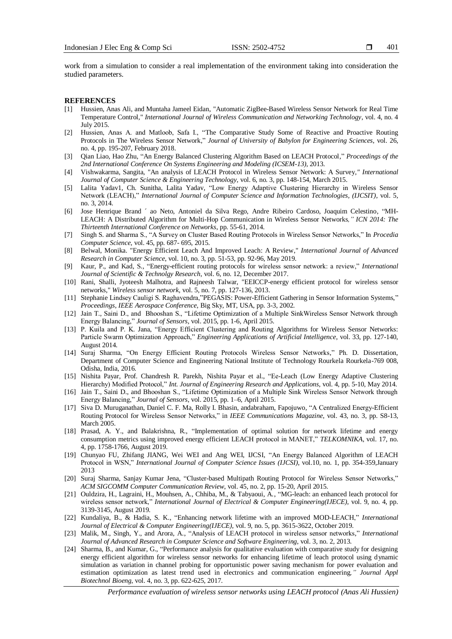401

work from a simulation to consider a real implementation of the environment taking into consideration the studied parameters.

#### **REFERENCES**

- [1] Hussien, Anas Ali, and Muntaha Jameel Eidan, "Automatic ZigBee-Based Wireless Sensor Network for Real Time Temperature Control," *International Journal of Wireless Communication and Networking Technology*, vol. 4, no. 4 July 2015.
- [2] Hussien, Anas A. and Matloob, Safa I., "The Comparative Study Some of Reactive and Proactive Routing Protocols in The Wireless Sensor Network," *Journal of University of Babylon for Engineering Sciences*, vol. 26, no. 4, pp. 195-207, February 2018.
- [3] Qian Liao, Hao Zhu, "An Energy Balanced Clustering Algorithm Based on LEACH Protocol," *Proceedings of the 2nd International Conference On Systems Engineering and Modeling (ICSEM-13)*, 2013.
- [4] Vishwakarma, Sangita, "An analysis of LEACH Protocol in Wireless Sensor Network: A Survey*," International Journal of Computer Science & Engineering Technology*, vol. 6, no. 3, pp. 148-154, March 2015.
- [5] Lalita Yadav1, Ch. Sunitha, Lalita Yadav, "Low Energy Adaptive Clustering Hierarchy in Wireless Sensor Network (LEACH)," *International Journal of Computer Science and Information Technologies, (IJCSIT)*, vol. 5, no. 3, 2014.
- [6] Jose Henrique Brand ´ ao Neto, Antoniel da Silva Rego, Andre Ribeiro Cardoso, Joaquim Celestino, "MH-LEACH: A Distributed Algorithm for Multi-Hop Communication in Wireless Sensor Networks*," ICN 2014: The Thirteenth International Conference on Networks*, pp. 55-61, 2014.
- [7] Singh S. and Sharma S., "A Survey on Cluster Based Routing Protocols in Wireless Sensor Networks," In *Procedia Computer Science*, vol. 45, pp. 687- 695, 2015.
- [8] Belwal, Monika. "Energy Efficient Leach And Improved Leach: A Review," *International Journal of Advanced Research in Computer Science*, vol. 10, no. 3, pp. 51-53, pp. 92-96, May 2019.
- [9] Kaur, P., and Kad, S., "Energy-efficient routing protocols for wireless sensor network: a review," *International Journal of Scientific & Technolgy Research*, vol. 6, no. 12, December 2017.
- [10] Rani, Shalli, Jyoteesh Malhotra, and Rajneesh Talwar, "EEICCP-energy efficient protocol for wireless sensor networks," *Wireless sensor network,* vol. 5, no. 7, pp. 127-136, 2013.
- [11] Stephanie Lindsey Cauligi S. Raghavendra,"PEGASIS: Power-Efficient Gathering in Sensor Information Systems," *Proceedings, IEEE Aerospace Conference*, Big Sky, MT, USA, pp. 3-3, 2002.
- [12] Jain T., Saini D., and Bhooshan S., "Lifetime Optimization of a Multiple SinkWireless Sensor Network through Energy Balancing," *Journal of Sensors*, vol. 2015, pp. 1-6, April 2015.
- [13] P. Kuila and P. K. Jana, "Energy Efficient Clustering and Routing Algorithms for Wireless Sensor Networks: Particle Swarm Optimization Approach," *Engineering Applications of Artificial Intelligence*, vol. 33, pp. 127-140, August 2014.
- [14] Suraj Sharma, "On Energy Efficient Routing Protocols Wireless Sensor Networks," Ph. D. Dissertation, Department of Computer Science and Engineering National Institute of Technology Rourkela Rourkela-769 008, Odisha, India, 2016.
- [15] Nishita Payar, Prof. Chandresh R. Parekh, Nishita Payar et al., "Ee-Leach (Low Energy Adaptive Clustering Hierarchy) Modified Protocol," *Int. Journal of Engineering Research and Applications*, vol. 4, pp. 5-10, May 2014.
- [16] Jain T., Saini D., and Bhooshan S., "Lifetime Optimization of a Multiple Sink Wireless Sensor Network through Energy Balancing," *Journal of Sensors*, vol. 2015, pp. 1–6, April 2015.
- [17] Siva D. Muruganathan, Daniel C. F. Ma, Rolly I. Bhasin, andabraham, Fapojuwo, "A Centralized Energy-Efficient Routing Protocol for Wireless Sensor Networks," in *IEEE Communications Magazine*, vol. 43, no. 3, pp. S8-13, March 2005.
- [18] Prasad, A. Y., and Balakrishna, R., "Implementation of optimal solution for network lifetime and energy consumption metrics using improved energy efficient LEACH protocol in MANET," *TELKOMNIKA*, vol. 17, no. 4, pp. 1758-1766, August 2019.
- [19] Chunyao FU, Zhifang JIANG, Wei WEI and Ang WEI, IJCSI, "An Energy Balanced Algorithm of LEACH Protocol in WSN," *International Journal of Computer Science Issues (IJCSI)*, vol.10, no. 1, pp. 354-359,January 2013
- [20] Suraj Sharma, Sanjay Kumar Jena, "Cluster-based Multipath Routing Protocol for Wireless Sensor Networks," *ACM SIGCOMM Computer Communication Review*, vol. 45, no. 2, pp. 15-20, April 2015.
- [21] Ouldzira, H., Lagraini, H., Mouhsen, A., Chhiba, M., & Tabyaoui, A., "MG-leach: an enhanced leach protocol for wireless sensor network," *International Journal of Electrical & Computer Engineering(IJECE)*, vol. 9, no. 4, pp. 3139-3145, August 2019.
- [22] Kundaliya, B., & Hadia, S. K., "Enhancing network lifetime with an improved MOD-LEACH," *International Journal of Electrical & Computer Engineering(IJECE),* vol. 9, no. 5, pp. 3615-3622, October 2019.
- [23] Malik, M., Singh, Y., and Arora, A., "Analysis of LEACH protocol in wireless sensor networks," *International Journal of Advanced Research in Computer Science and Software Engineering*, vol. 3, no. 2, 2013.
- [24] Sharma, B., and Kumar, G., "Performance analysis for qualitative evaluation with comparative study for designing energy efficient algorithm for wireless sensor networks for enhancing lifetime of leach protocol using dynamic simulation as variation in channel probing for opportunistic power saving mechanism for power evaluation and estimation optimization as latest trend used in electronics and communication engineering*," Journal Appl Biotechnol Bioeng*, vol. 4, no. 3, pp. 622-625, 2017.